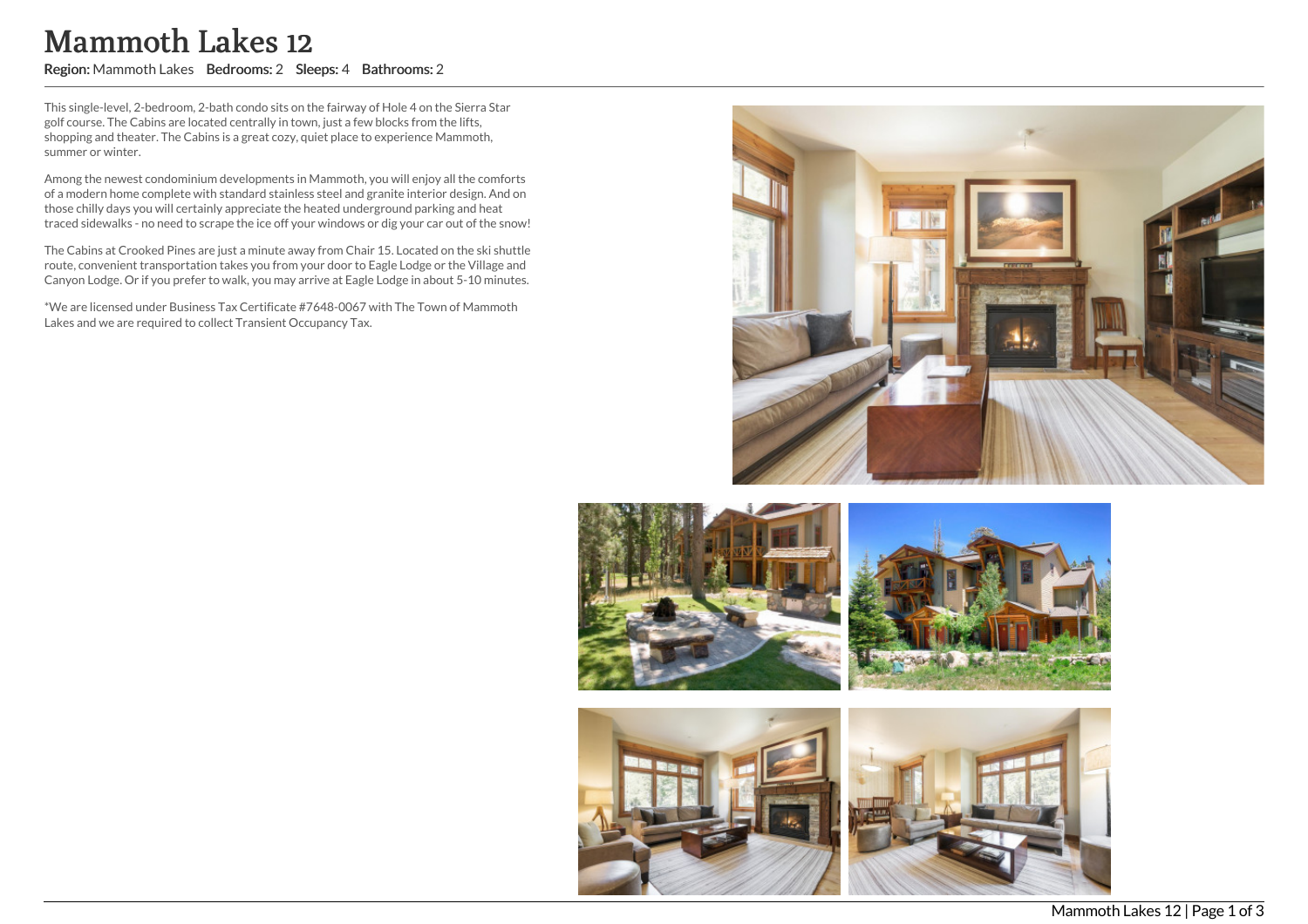## Mammoth Lakes 12

## Region: Mammoth Lakes Bedrooms: 2 Sleeps: 4 Bathrooms: 2

This single-level, 2-bedroom, 2-bath condo sits on the fairway of Hole 4 on the Sierra Star golf course. The Cabins are located centrally in town, just a few blocks from the lifts, shopping and theater. The Cabins is a great cozy, quiet place to experience Mammoth, summer or winter.

Among the newest condominium developments in Mammoth, you will enjoy all the comforts of a modern home complete with standard stainless steel and granite interior design. And on those chilly days you will certainly appreciate the heated underground parking and heat traced sidewalks - no need to scrape the ice off your windows or dig your car out of the snow!

The Cabins at Crooked Pines are just a minute away from Chair 15. Located on the ski shuttle route, convenient transportation takes you from your door to Eagle Lodge or the Village and Canyon Lodge. Or if you prefer to walk, you may arrive at Eagle Lodge in about 5-10 minutes.

\*We are licensed under Business Tax Certificate #7648-0067 with The Town of Mammoth Lakes and we are required to collect Transient Occupancy Tax.



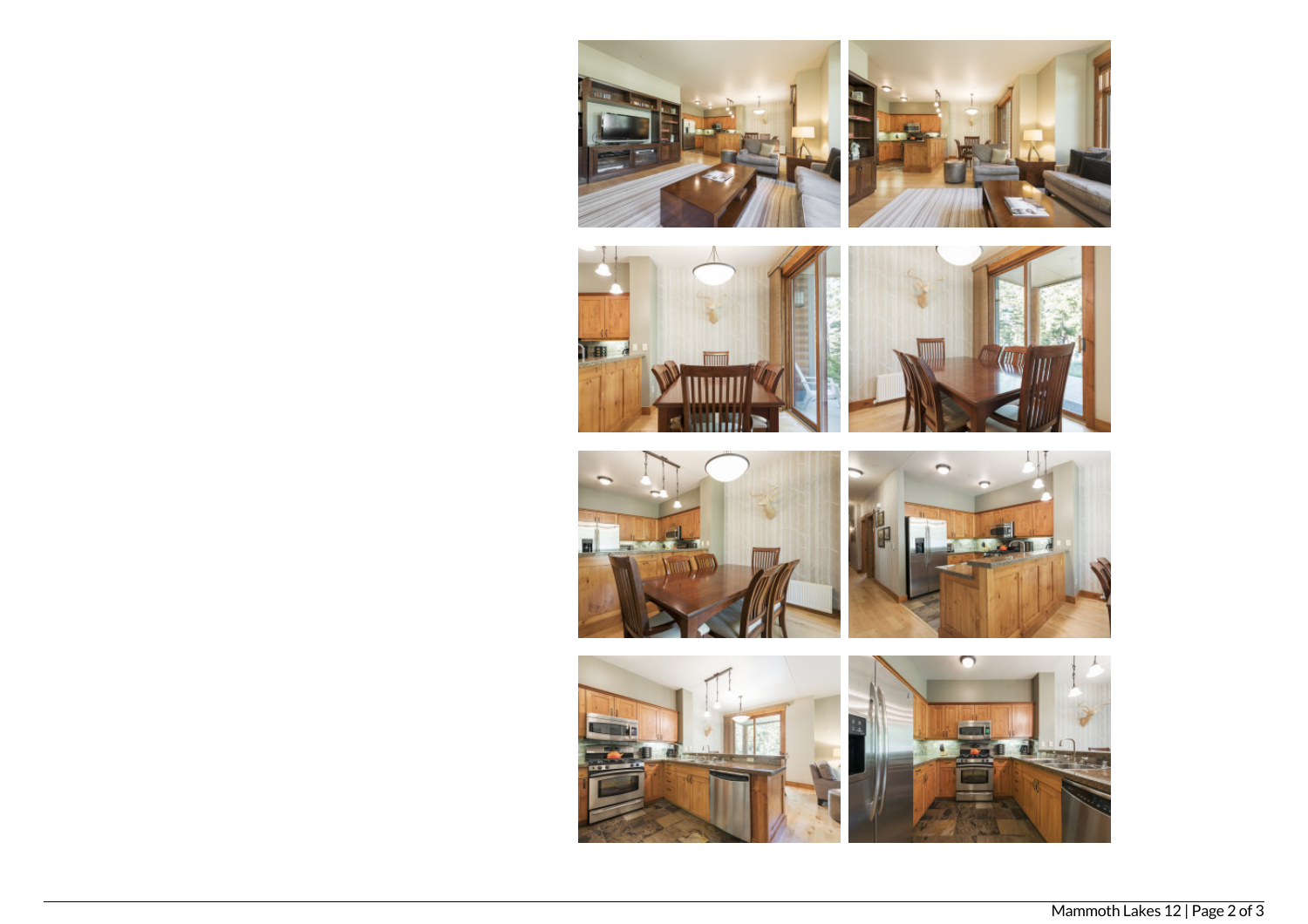